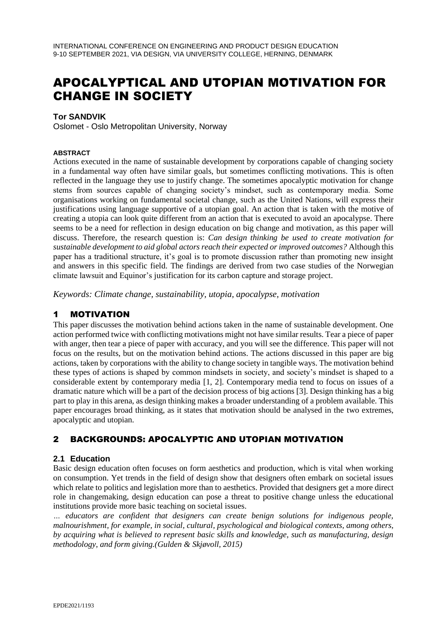# APOCALYPTICAL AND UTOPIAN MOTIVATION FOR CHANGE IN SOCIETY

#### **Tor SANDVIK**

Oslomet - Oslo Metropolitan University, Norway

#### **ABSTRACT**

Actions executed in the name of sustainable development by corporations capable of changing society in a fundamental way often have similar goals, but sometimes conflicting motivations. This is often reflected in the language they use to justify change. The sometimes apocalyptic motivation for change stems from sources capable of changing society's mindset, such as contemporary media. Some organisations working on fundamental societal change, such as the United Nations, will express their justifications using language supportive of a utopian goal. An action that is taken with the motive of creating a utopia can look quite different from an action that is executed to avoid an apocalypse. There seems to be a need for reflection in design education on big change and motivation, as this paper will discuss. Therefore, the research question is: *Can design thinking be used to create motivation for sustainable development to aid global actors reach their expected or improved outcomes?* Although this paper has a traditional structure, it's goal is to promote discussion rather than promoting new insight and answers in this specific field. The findings are derived from two case studies of the Norwegian climate lawsuit and Equinor's justification for its carbon capture and storage project.

*Keywords: Climate change, sustainability, utopia, apocalypse, motivation*

## 1 MOTIVATION

This paper discusses the motivation behind actions taken in the name of sustainable development. One action performed twice with conflicting motivations might not have similar results. Tear a piece of paper with anger, then tear a piece of paper with accuracy, and you will see the difference. This paper will not focus on the results, but on the motivation behind actions. The actions discussed in this paper are big actions, taken by corporations with the ability to change society in tangible ways. The motivation behind these types of actions is shaped by common mindsets in society, and society's mindset is shaped to a considerable extent by contemporary media [1, 2]. Contemporary media tend to focus on issues of a dramatic nature which will be a part of the decision process of big actions [3]. Design thinking has a big part to play in this arena, as design thinking makes a broader understanding of a problem available. This paper encourages broad thinking, as it states that motivation should be analysed in the two extremes, apocalyptic and utopian.

## 2 BACKGROUNDS: APOCALYPTIC AND UTOPIAN MOTIVATION

#### **2.1 Education**

Basic design education often focuses on form aesthetics and production, which is vital when working on consumption. Yet trends in the field of design show that designers often embark on societal issues which relate to politics and legislation more than to aesthetics. Provided that designers get a more direct role in changemaking, design education can pose a threat to positive change unless the educational institutions provide more basic teaching on societal issues.

*… educators are confident that designers can create benign solutions for indigenous people, malnourishment, for example, in social, cultural, psychological and biological contexts, among others, by acquiring what is believed to represent basic skills and knowledge, such as manufacturing, design methodology, and form giving.(Gulden & Skjøvoll, 2015)*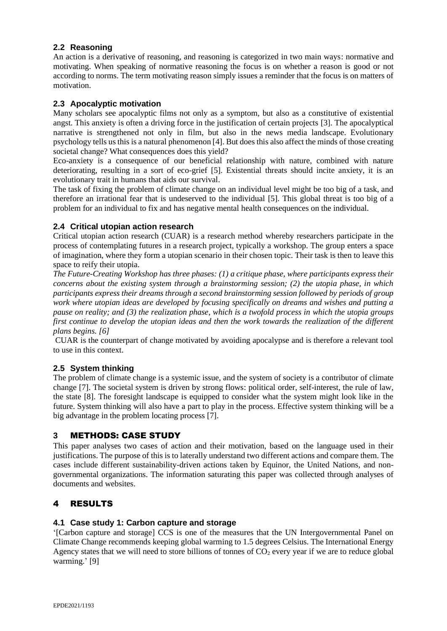## **2.2 Reasoning**

An action is a derivative of reasoning, and reasoning is categorized in two main ways: normative and motivating. When speaking of normative reasoning the focus is on whether a reason is good or not according to norms. The term motivating reason simply issues a reminder that the focus is on matters of motivation.

#### **2.3 Apocalyptic motivation**

Many scholars see apocalyptic films not only as a symptom, but also as a constitutive of existential angst. This anxiety is often a driving force in the justification of certain projects [3]. The apocalyptical narrative is strengthened not only in film, but also in the news media landscape. Evolutionary psychology tells us this is a natural phenomenon [4]. But does this also affect the minds of those creating societal change? What consequences does this yield?

Eco-anxiety is a consequence of our beneficial relationship with nature, combined with nature deteriorating, resulting in a sort of eco-grief [5]. Existential threats should incite anxiety, it is an evolutionary trait in humans that aids our survival.

The task of fixing the problem of climate change on an individual level might be too big of a task, and therefore an irrational fear that is undeserved to the individual [5]. This global threat is too big of a problem for an individual to fix and has negative mental health consequences on the individual.

## **2.4 Critical utopian action research**

Critical utopian action research (CUAR) is a research method whereby researchers participate in the process of contemplating futures in a research project, typically a workshop. The group enters a space of imagination, where they form a utopian scenario in their chosen topic. Their task is then to leave this space to reify their utopia.

*The Future-Creating Workshop has three phases: (1) a critique phase, where participants express their concerns about the existing system through a brainstorming session; (2) the utopia phase, in which participants express their dreams through a second brainstorming session followed by periods of group work where utopian ideas are developed by focusing specifically on dreams and wishes and putting a pause on reality; and (3) the realization phase, which is a twofold process in which the utopia groups first continue to develop the utopian ideas and then the work towards the realization of the different plans begins. [6]*

CUAR is the counterpart of change motivated by avoiding apocalypse and is therefore a relevant tool to use in this context.

## **2.5 System thinking**

The problem of climate change is a systemic issue, and the system of society is a contributor of climate change [7]. The societal system is driven by strong flows: political order, self-interest, the rule of law, the state [8]. The foresight landscape is equipped to consider what the system might look like in the future. System thinking will also have a part to play in the process. Effective system thinking will be a big advantage in the problem locating process [7].

## **3** METHODS: CASE STUDY

This paper analyses two cases of action and their motivation, based on the language used in their justifications. The purpose of this is to laterally understand two different actions and compare them. The cases include different sustainability-driven actions taken by Equinor, the United Nations, and nongovernmental organizations. The information saturating this paper was collected through analyses of documents and websites.

## 4 RESULTS

#### **4.1 Case study 1: Carbon capture and storage**

'[Carbon capture and storage] CCS is one of the measures that the UN Intergovernmental Panel on Climate Change recommends keeping global warming to 1.5 degrees Celsius. The International Energy Agency states that we will need to store billions of tonnes of  $CO<sub>2</sub>$  every year if we are to reduce global warming.' [9]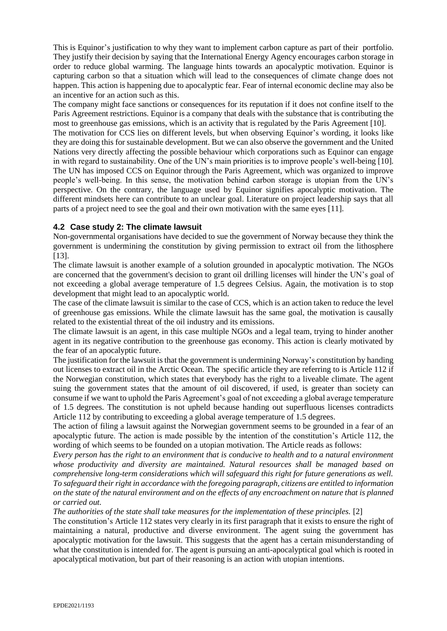This is Equinor's justification to why they want to implement carbon capture as part of their portfolio. They justify their decision by saying that the International Energy Agency encourages carbon storage in order to reduce global warming. The language hints towards an apocalyptic motivation. Equinor is capturing carbon so that a situation which will lead to the consequences of climate change does not happen. This action is happening due to apocalyptic fear. Fear of internal economic decline may also be an incentive for an action such as this.

The company might face sanctions or consequences for its reputation if it does not confine itself to the Paris Agreement restrictions. Equinor is a company that deals with the substance that is contributing the most to greenhouse gas emissions, which is an activity that is regulated by the Paris Agreement [10].

The motivation for CCS lies on different levels, but when observing Equinor's wording, it looks like they are doing this for sustainable development. But we can also observe the government and the United Nations very directly affecting the possible behaviour which corporations such as Equinor can engage in with regard to sustainability. One of the UN's main priorities is to improve people's well-being [10]. The UN has imposed CCS on Equinor through the Paris Agreement, which was organized to improve people's well-being. In this sense, the motivation behind carbon storage is utopian from the UN's perspective. On the contrary, the language used by Equinor signifies apocalyptic motivation. The different mindsets here can contribute to an unclear goal. Literature on project leadership says that all parts of a project need to see the goal and their own motivation with the same eyes [11].

#### **4.2 Case study 2: The climate lawsuit**

Non-governmental organisations have decided to sue the government of Norway because they think the government is undermining the constitution by giving permission to extract oil from the lithosphere [13].

The climate lawsuit is another example of a solution grounded in apocalyptic motivation. The NGOs are concerned that the government's decision to grant oil drilling licenses will hinder the UN's goal of not exceeding a global average temperature of 1.5 degrees Celsius. Again, the motivation is to stop development that might lead to an apocalyptic world.

The case of the climate lawsuit is similar to the case of CCS, which is an action taken to reduce the level of greenhouse gas emissions. While the climate lawsuit has the same goal, the motivation is causally related to the existential threat of the oil industry and its emissions.

The climate lawsuit is an agent, in this case multiple NGOs and a legal team, trying to hinder another agent in its negative contribution to the greenhouse gas economy. This action is clearly motivated by the fear of an apocalyptic future.

The justification for the lawsuit is that the government is undermining Norway's constitution by handing out licenses to extract oil in the Arctic Ocean. The specific article they are referring to is Article 112 if the Norwegian constitution, which states that everybody has the right to a liveable climate. The agent suing the government states that the amount of oil discovered, if used, is greater than society can consume if we want to uphold the Paris Agreement's goal of not exceeding a global average temperature of 1.5 degrees. The constitution is not upheld because handing out superfluous licenses contradicts Article 112 by contributing to exceeding a global average temperature of 1.5 degrees.

The action of filing a lawsuit against the Norwegian government seems to be grounded in a fear of an apocalyptic future. The action is made possible by the intention of the constitution's Article 112, the wording of which seems to be founded on a utopian motivation. The Article reads as follows:

*Every person has the right to an environment that is conducive to health and to a natural environment whose productivity and diversity are maintained. Natural resources shall be managed based on comprehensive long-term considerations which will safeguard this right for future generations as well. To safeguard their right in accordance with the foregoing paragraph, citizens are entitled to information on the state of the natural environment and on the effects of any encroachment on nature that is planned or carried out.*

*The authorities of the state shall take measures for the implementation of these principles.* [2]

The constitution's Article 112 states very clearly in its first paragraph that it exists to ensure the right of maintaining a natural, productive and diverse environment. The agent suing the government has apocalyptic motivation for the lawsuit. This suggests that the agent has a certain misunderstanding of what the constitution is intended for. The agent is pursuing an anti-apocalyptical goal which is rooted in apocalyptical motivation, but part of their reasoning is an action with utopian intentions.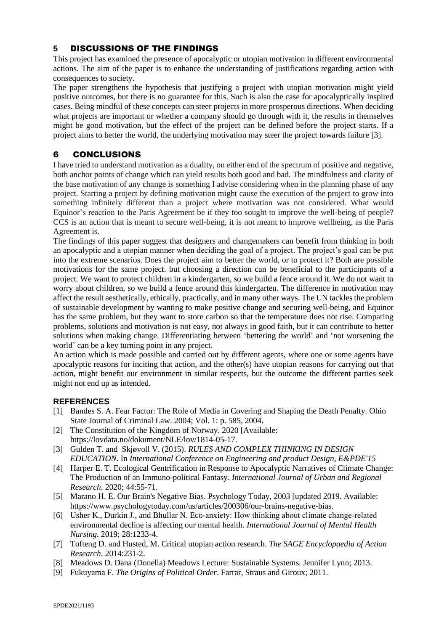## **5** DISCUSSIONS OF THE FINDINGS

This project has examined the presence of apocalyptic or utopian motivation in different environmental actions. The aim of the paper is to enhance the understanding of justifications regarding action with consequences to society.

The paper strengthens the hypothesis that justifying a project with utopian motivation might yield positive outcomes, but there is no guarantee for this. Such is also the case for apocalyptically inspired cases. Being mindful of these concepts can steer projects in more prosperous directions. When deciding what projects are important or whether a company should go through with it, the results in themselves might be good motivation, but the effect of the project can be defined before the project starts. If a project aims to better the world, the underlying motivation may steer the project towards failure [3].

# 6 CONCLUSIONS

I have tried to understand motivation as a duality, on either end of the spectrum of positive and negative, both anchor points of change which can yield results both good and bad. The mindfulness and clarity of the base motivation of any change is something I advise considering when in the planning phase of any project. Starting a project by defining motivation might cause the execution of the project to grow into something infinitely different than a project where motivation was not considered. What would Equinor's reaction to the Paris Agreement be if they too sought to improve the well-being of people? CCS is an action that is meant to secure well-being, it is not meant to improve wellbeing, as the Paris Agreement is.

The findings of this paper suggest that designers and changemakers can benefit from thinking in both an apocalyptic and a utopian manner when deciding the goal of a project. The project's goal can be put into the extreme scenarios. Does the project aim to better the world, or to protect it? Both are possible motivations for the same project. but choosing a direction can be beneficial to the participants of a project. We want to protect children in a kindergarten, so we build a fence around it. We do not want to worry about children, so we build a fence around this kindergarten. The difference in motivation may affect the result aesthetically, ethically, practically, and in many other ways. The UN tackles the problem of sustainable development by wanting to make positive change and securing well-being, and Equinor has the same problem, but they want to store carbon so that the temperature does not rise. Comparing problems, solutions and motivation is not easy, not always in good faith, but it can contribute to better solutions when making change. Differentiating between 'bettering the world' and 'not worsening the world' can be a key turning point in any project.

An action which is made possible and carried out by different agents, where one or some agents have apocalyptic reasons for inciting that action, and the other(s) have utopian reasons for carrying out that action, might benefit our environment in similar respects, but the outcome the different parties seek might not end up as intended.

#### **REFERENCES**

- [1] Bandes S. A. Fear Factor: The Role of Media in Covering and Shaping the Death Penalty. Ohio State Journal of Criminal Law. 2004; Vol. 1: p. 585, 2004.
- [2] The Constitution of the Kingdom of Norway. 2020 [Available[:](https://lovdata.no/dokument/NLE/lov/1814-05-17) [https://lovdata.no/dokument/NLE/lov/1814-05-17.](https://lovdata.no/dokument/NLE/lov/1814-05-17)
- [3] Gulden T. and Skjøvoll V. (2015). *RULES AND COMPLEX THINKING IN DESIGN EDUCATION*. In *International Conference on Engineering and product Design, E&PDE'15*
- [4] Harper E. T. Ecological Gentrification in Response to Apocalyptic Narratives of Climate Change: The Production of an Immuno-political Fantasy. *International Journal of Urban and Regional Research*. 2020; 44:55-71.
- [5] Marano H. E. Our Brain's Negative Bias. Psychology Today, 2003 [updated 2019. Available[:](https://www.psychologytoday.com/us/articles/200306/our-brains-negative-bias) [https://www.psychologytoday.com/us/articles/200306/our-brains-negative-bias.](https://www.psychologytoday.com/us/articles/200306/our-brains-negative-bias)
- [6] Usher K., Durkin J., and Bhullar N. Eco-anxiety: How thinking about climate change‐related environmental decline is affecting our mental health. *International Journal of Mental Health Nursing*. 2019; 28:1233-4.
- [7] Tofteng D. and Husted, M. Critical utopian action research. *The SAGE Encyclopaedia of Action Research*. 2014:231-2.
- [8] Meadows D. Dana (Donella) Meadows Lecture: Sustainable Systems. Jennifer Lynn; 2013.
- [9] Fukuyama F. *The Origins of Political Order*. Farrar, Straus and Giroux; 2011.